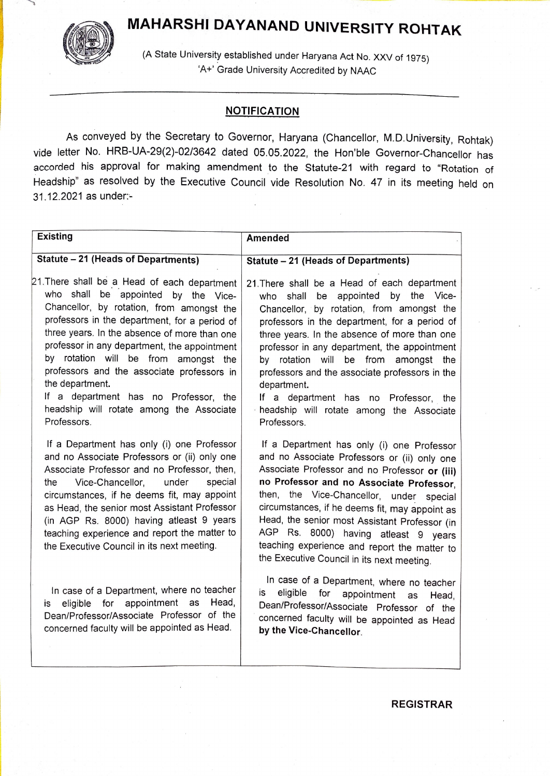## MAHARSHI DAYANAND UNIVERSITY ROHTAK



(A State University established under Haryana Act No. XXV of 1975) 'A+ Grade University Accredited by NAAC

## **NOTIFICATION**

As conveyed by the Secretary to Governor, Haryana (Chancellor, M.D.University, Rohtak) vide letter No. HRB-UA-29(2)-02/3642 dated 05.05.2022, the Hon'ble Governor-Chancellor has accorded his approval for making amendment to the Statute-21 with regard to "Rotation of Headship" as resolved by the Executive Council vide Resolution No. 47 in its meeting held on 31.12.2021 as under

| <b>Existing</b>                                                                                                                                                                                                                                                                                                                                                                                                                                                                                | <b>Amended</b>                                                                                                                                                                                                                                                                                                                                                                                                                                                                                 |
|------------------------------------------------------------------------------------------------------------------------------------------------------------------------------------------------------------------------------------------------------------------------------------------------------------------------------------------------------------------------------------------------------------------------------------------------------------------------------------------------|------------------------------------------------------------------------------------------------------------------------------------------------------------------------------------------------------------------------------------------------------------------------------------------------------------------------------------------------------------------------------------------------------------------------------------------------------------------------------------------------|
| <b>Statute - 21 (Heads of Departments)</b>                                                                                                                                                                                                                                                                                                                                                                                                                                                     | Statute - 21 (Heads of Departments)                                                                                                                                                                                                                                                                                                                                                                                                                                                            |
| 21. There shall be a Head of each department<br>who shall be appointed by the Vice-<br>Chancellor, by rotation, from amongst the<br>professors in the department, for a period of<br>three years. In the absence of more than one<br>professor in any department, the appointment<br>by rotation will be from amongst the<br>professors and the associate professors in<br>the department.<br>If a department has no Professor, the<br>headship will rotate among the Associate<br>Professors. | 21. There shall be a Head of each department<br>who shall be appointed by the Vice-<br>Chancellor, by rotation, from amongst the<br>professors in the department, for a period of<br>three years. In the absence of more than one<br>professor in any department, the appointment<br>by rotation will be from amongst the<br>professors and the associate professors in the<br>department.<br>If a department has no Professor, the<br>headship will rotate among the Associate<br>Professors. |
| If a Department has only (i) one Professor<br>and no Associate Professors or (ii) only one<br>Associate Professor and no Professor, then,<br>Vice-Chancellor,<br>under<br>special<br>the<br>circumstances, if he deems fit, may appoint<br>as Head, the senior most Assistant Professor<br>(in AGP Rs. 8000) having atleast 9 years<br>teaching experience and report the matter to<br>the Executive Council in its next meeting.                                                              | If a Department has only (i) one Professor<br>and no Associate Professors or (ii) only one<br>Associate Professor and no Professor or (iii)<br>no Professor and no Associate Professor,<br>then, the Vice-Chancellor, under special<br>circumstances, if he deems fit, may appoint as<br>Head, the senior most Assistant Professor (in<br>AGP Rs. 8000) having atleast 9 years<br>teaching experience and report the matter to<br>the Executive Council in its next meeting.                   |
| In case of a Department, where no teacher<br>eligible for appointment as<br>Head,<br>is<br>Dean/Professor/Associate Professor of the<br>concerned faculty will be appointed as Head.                                                                                                                                                                                                                                                                                                           | In case of a Department, where no teacher<br>eligible<br>is<br>for<br>appointment<br>Head,<br>as<br>Dean/Professor/Associate Professor of the<br>concerned faculty will be appointed as Head<br>by the Vice-Chancellor.                                                                                                                                                                                                                                                                        |